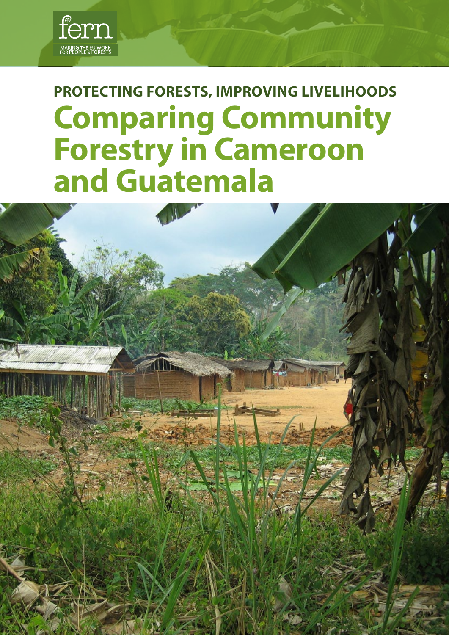

# **Protecting forests, improving livelihoods Comparing Community Forestry in Cameroon and Guatemala**

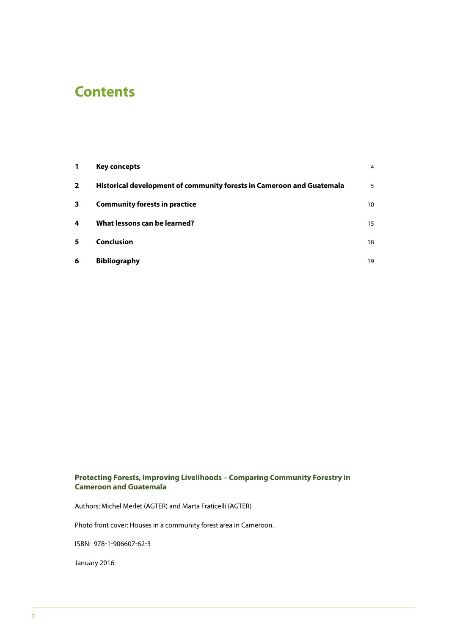# **Contents**

| 1              | <b>Key concepts</b>                                                   | $\overline{4}$ |
|----------------|-----------------------------------------------------------------------|----------------|
| $\overline{2}$ | Historical development of community forests in Cameroon and Guatemala | 5              |
| 3              | <b>Community forests in practice</b>                                  | 10             |
| 4              | What lessons can be learned?                                          | 15             |
| 5              | <b>Conclusion</b>                                                     | 18             |
| 6              | <b>Bibliography</b>                                                   | 19             |

### **Protecting Forests, Improving Livelihoods – Comparing Community Forestry in Cameroon and Guatemala**

Authors: Michel Merlet (AGTER) and Marta Fraticelli (AGTER)

Photo front cover: Houses in a community forest area in Cameroon.

isbn: 978-1-906607-62-3

January 2016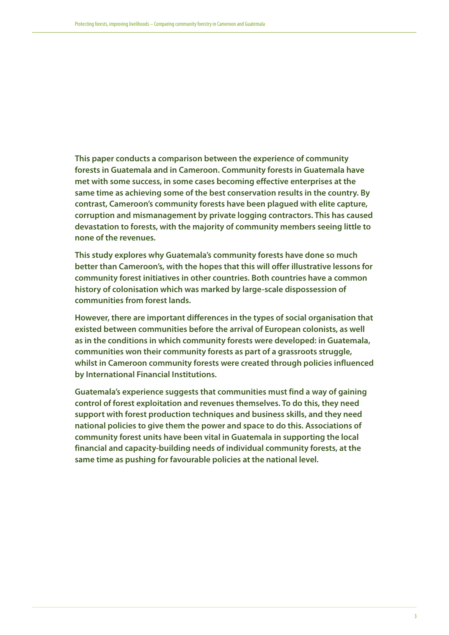**This paper conducts a comparison between the experience of community forests in Guatemala and in Cameroon. Community forests in Guatemala have met with some success, in some cases becoming effective enterprises at the same time as achieving some of the best conservation results in the country. By contrast, Cameroon's community forests have been plagued with elite capture, corruption and mismanagement by private logging contractors. This has caused devastation to forests, with the majority of community members seeing little to none of the revenues.** 

**This study explores why Guatemala's community forests have done so much better than Cameroon's, with the hopes that this will offer illustrative lessons for community forest initiatives in other countries. Both countries have a common history of colonisation which was marked by large-scale dispossession of communities from forest lands.** 

**However, there are important differences in the types of social organisation that existed between communities before the arrival of European colonists, as well as in the conditions in which community forests were developed: in Guatemala, communities won their community forests as part of a grassroots struggle, whilst in Cameroon community forests were created through policies influenced by International Financial Institutions.** 

**Guatemala's experience suggests that communities must find a way of gaining control of forest exploitation and revenues themselves. To do this, they need support with forest production techniques and business skills, and they need national policies to give them the power and space to do this. Associations of community forest units have been vital in Guatemala in supporting the local financial and capacity-building needs of individual community forests, at the same time as pushing for favourable policies at the national level.**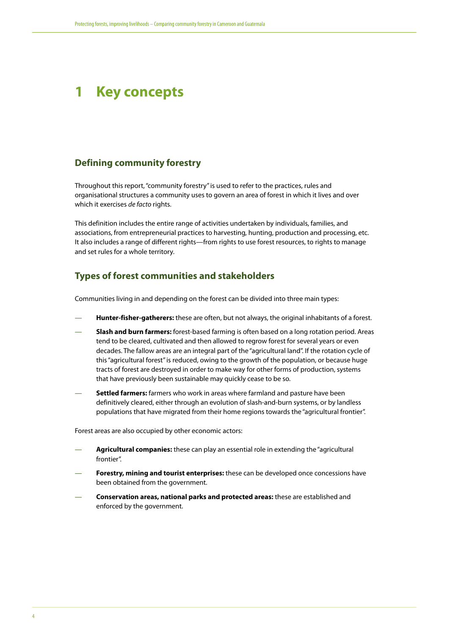# <span id="page-3-0"></span>**1 Key concepts**

### **Defining community forestry**

Throughout this report, "community forestry" is used to refer to the practices, rules and organisational structures a community uses to govern an area of forest in which it lives and over which it exercises *de facto* rights.

This definition includes the entire range of activities undertaken by individuals, families, and associations, from entrepreneurial practices to harvesting, hunting, production and processing, etc. It also includes a range of different rights—from rights to use forest resources, to rights to manage and set rules for a whole territory.

# **Types of forest communities and stakeholders**

Communities living in and depending on the forest can be divided into three main types:

- **Hunter-fisher-gatherers:** these are often, but not always, the original inhabitants of a forest.
- **Slash and burn farmers:** forest-based farming is often based on a long rotation period. Areas tend to be cleared, cultivated and then allowed to regrow forest for several years or even decades. The fallow areas are an integral part of the "agricultural land". If the rotation cycle of this "agricultural forest" is reduced, owing to the growth of the population, or because huge tracts of forest are destroyed in order to make way for other forms of production, systems that have previously been sustainable may quickly cease to be so.
- **Settled farmers:** farmers who work in areas where farmland and pasture have been definitively cleared, either through an evolution of slash-and-burn systems, or by landless populations that have migrated from their home regions towards the "agricultural frontier".

Forest areas are also occupied by other economic actors:

- **Agricultural companies:** these can play an essential role in extending the "agricultural frontier".
- **Forestry, mining and tourist enterprises:** these can be developed once concessions have been obtained from the government.
- **Conservation areas, national parks and protected areas:** these are established and enforced by the government.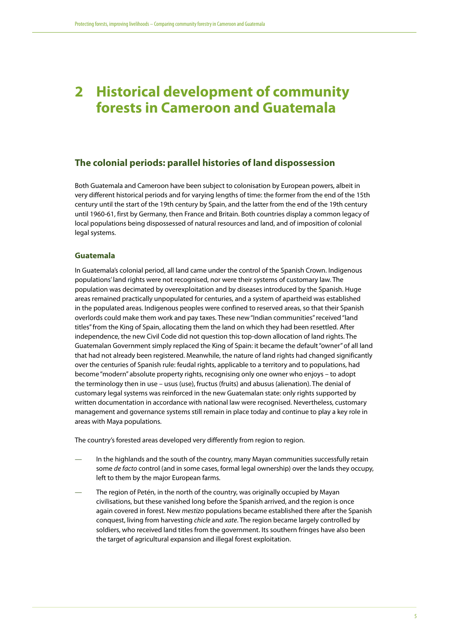# <span id="page-4-0"></span>**2 Historical development of community forests in Cameroon and Guatemala**

## **The colonial periods: parallel histories of land dispossession**

Both Guatemala and Cameroon have been subject to colonisation by European powers, albeit in very different historical periods and for varying lengths of time: the former from the end of the 15th century until the start of the 19th century by Spain, and the latter from the end of the 19th century until 1960-61, first by Germany, then France and Britain. Both countries display a common legacy of local populations being dispossessed of natural resources and land, and of imposition of colonial legal systems.

#### **Guatemala**

In Guatemala's colonial period, all land came under the control of the Spanish Crown. Indigenous populations' land rights were not recognised, nor were their systems of customary law. The population was decimated by overexploitation and by diseases introduced by the Spanish. Huge areas remained practically unpopulated for centuries, and a system of apartheid was established in the populated areas. Indigenous peoples were confined to reserved areas, so that their Spanish overlords could make them work and pay taxes. These new "Indian communities" received "land titles" from the King of Spain, allocating them the land on which they had been resettled. After independence, the new Civil Code did not question this top-down allocation of land rights. The Guatemalan Government simply replaced the King of Spain: it became the default "owner" of all land that had not already been registered. Meanwhile, the nature of land rights had changed significantly over the centuries of Spanish rule: feudal rights, applicable to a territory and to populations, had become "modern" absolute property rights, recognising only one owner who enjoys – to adopt the terminology then in use – usus (use), fructus (fruits) and abusus (alienation). The denial of customary legal systems was reinforced in the new Guatemalan state: only rights supported by written documentation in accordance with national law were recognised. Nevertheless, customary management and governance systems still remain in place today and continue to play a key role in areas with Maya populations.

The country's forested areas developed very differently from region to region.

- In the highlands and the south of the country, many Mayan communities successfully retain some *de facto* control (and in some cases, formal legal ownership) over the lands they occupy, left to them by the major European farms.
- The region of Petén, in the north of the country, was originally occupied by Mayan civilisations, but these vanished long before the Spanish arrived, and the region is once again covered in forest. New *mestizo* populations became established there after the Spanish conquest, living from harvesting *chicle* and *xate*. The region became largely controlled by soldiers, who received land titles from the government. Its southern fringes have also been the target of agricultural expansion and illegal forest exploitation.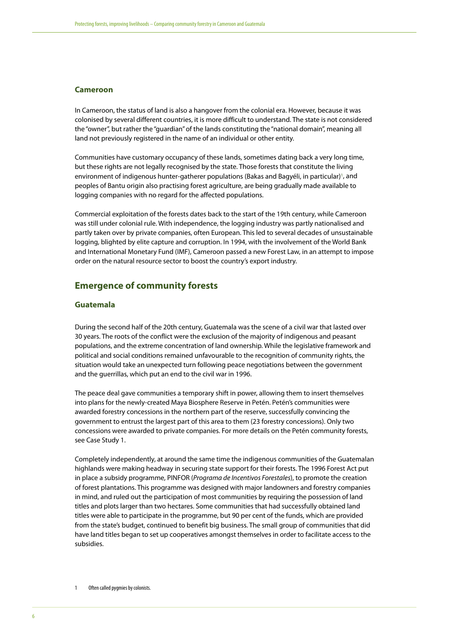#### **Cameroon**

In Cameroon, the status of land is also a hangover from the colonial era. However, because it was colonised by several different countries, it is more difficult to understand. The state is not considered the "owner", but rather the "guardian" of the lands constituting the "national domain", meaning all land not previously registered in the name of an individual or other entity.

Communities have customary occupancy of these lands, sometimes dating back a very long time, but these rights are not legally recognised by the state. Those forests that constitute the living environment of indigenous hunter-gatherer populations (Bakas and Bagyéli, in particular)<sup>1</sup>, and peoples of Bantu origin also practising forest agriculture, are being gradually made available to logging companies with no regard for the affected populations.

Commercial exploitation of the forests dates back to the start of the 19th century, while Cameroon was still under colonial rule. With independence, the logging industry was partly nationalised and partly taken over by private companies, often European. This led to several decades of unsustainable logging, blighted by elite capture and corruption. In 1994, with the involvement of the World Bank and International Monetary Fund (IMF), Cameroon passed a new Forest Law, in an attempt to impose order on the natural resource sector to boost the country's export industry.

# **Emergence of community forests**

#### **Guatemala**

During the second half of the 20th century, Guatemala was the scene of a civil war that lasted over 30 years. The roots of the conflict were the exclusion of the majority of indigenous and peasant populations, and the extreme concentration of land ownership. While the legislative framework and political and social conditions remained unfavourable to the recognition of community rights, the situation would take an unexpected turn following peace negotiations between the government and the guerrillas, which put an end to the civil war in 1996.

The peace deal gave communities a temporary shift in power, allowing them to insert themselves into plans for the newly-created Maya Biosphere Reserve in Petén. Petén's communities were awarded forestry concessions in the northern part of the reserve, successfully convincing the government to entrust the largest part of this area to them (23 forestry concessions). Only two concessions were awarded to private companies. For more details on the Petén community forests, see Case Study 1.

Completely independently, at around the same time the indigenous communities of the Guatemalan highlands were making headway in securing state support for their forests. The 1996 Forest Act put in place a subsidy programme, PINFOR (*Programa de Incentivos Forestales*), to promote the creation of forest plantations. This programme was designed with major landowners and forestry companies in mind, and ruled out the participation of most communities by requiring the possession of land titles and plots larger than two hectares. Some communities that had successfully obtained land titles were able to participate in the programme, but 90 per cent of the funds, which are provided from the state's budget, continued to benefit big business. The small group of communities that did have land titles began to set up cooperatives amongst themselves in order to facilitate access to the subsidies.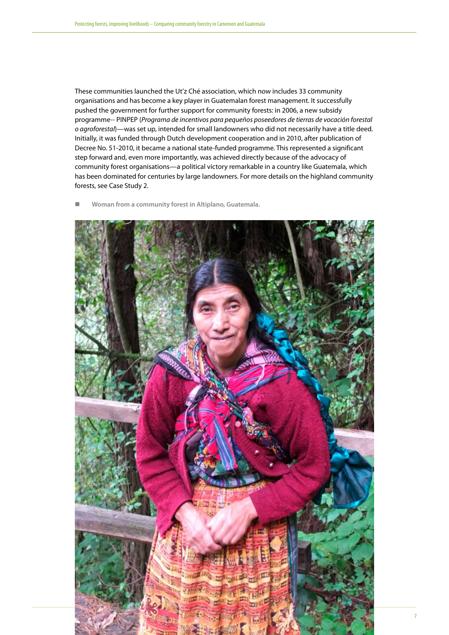These communities launched the Ut'z Ché association, which now includes 33 community organisations and has become a key player in Guatemalan forest management. It successfully pushed the government for further support for community forests: in 2006, a new subsidy programme-- PINPEP (*Programa de incentivos para pequeños poseedores de tierras de vocación forestal o agroforestal*)—was set up, intended for small landowners who did not necessarily have a title deed. Initially, it was funded through Dutch development cooperation and in 2010, after publication of Decree No. 51-2010, it became a national state-funded programme. This represented a significant step forward and, even more importantly, was achieved directly because of the advocacy of community forest organisations—a political victory remarkable in a country like Guatemala, which has been dominated for centuries by large landowners. For more details on the highland community forests, see Case Study 2.

**Woman from a community forest in Altiplano, Guatemala.**

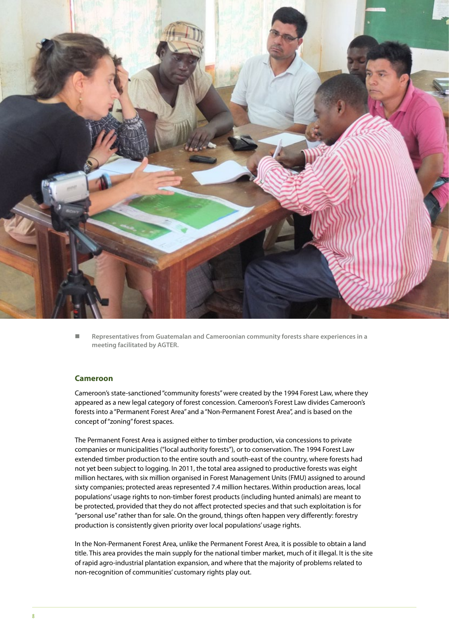

 **Representatives from Guatemalan and Cameroonian community forests share experiences in a meeting facilitated by AGTER.**

#### **Cameroon**

Cameroon's state-sanctioned "community forests" were created by the 1994 Forest Law, where they appeared as a new legal category of forest concession. Cameroon's Forest Law divides Cameroon's forests into a "Permanent Forest Area" and a "Non-Permanent Forest Area", and is based on the concept of "zoning" forest spaces.

The Permanent Forest Area is assigned either to timber production, via concessions to private companies or municipalities ("local authority forests"), or to conservation. The 1994 Forest Law extended timber production to the entire south and south-east of the country, where forests had not yet been subject to logging. In 2011, the total area assigned to productive forests was eight million hectares, with six million organised in Forest Management Units (FMU) assigned to around sixty companies; protected areas represented 7.4 million hectares. Within production areas, local populations' usage rights to non-timber forest products (including hunted animals) are meant to be protected, provided that they do not affect protected species and that such exploitation is for "personal use" rather than for sale. On the ground, things often happen very differently: forestry production is consistently given priority over local populations' usage rights.

In the Non-Permanent Forest Area, unlike the Permanent Forest Area, it is possible to obtain a land title. This area provides the main supply for the national timber market, much of it illegal. It is the site of rapid agro-industrial plantation expansion, and where that the majority of problems related to non-recognition of communities' customary rights play out.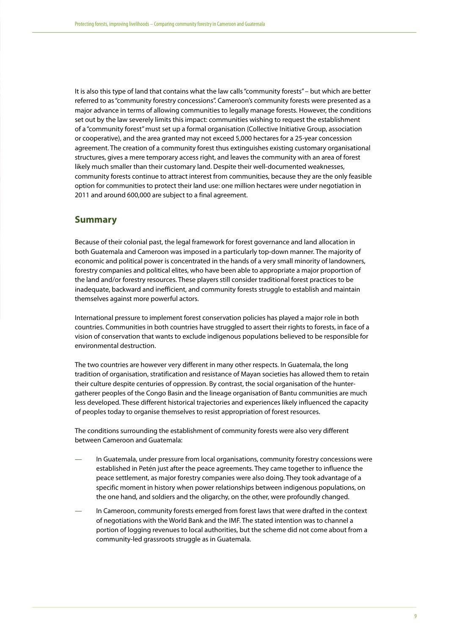It is also this type of land that contains what the law calls "community forests" – but which are better referred to as "community forestry concessions". Cameroon's community forests were presented as a major advance in terms of allowing communities to legally manage forests. However, the conditions set out by the law severely limits this impact: communities wishing to request the establishment of a "community forest" must set up a formal organisation (Collective Initiative Group, association or cooperative), and the area granted may not exceed 5,000 hectares for a 25-year concession agreement. The creation of a community forest thus extinguishes existing customary organisational structures, gives a mere temporary access right, and leaves the community with an area of forest likely much smaller than their customary land. Despite their well-documented weaknesses, community forests continue to attract interest from communities, because they are the only feasible option for communities to protect their land use: one million hectares were under negotiation in 2011 and around 600,000 are subject to a final agreement.

#### **Summary**

Because of their colonial past, the legal framework for forest governance and land allocation in both Guatemala and Cameroon was imposed in a particularly top-down manner. The majority of economic and political power is concentrated in the hands of a very small minority of landowners, forestry companies and political elites, who have been able to appropriate a major proportion of the land and/or forestry resources. These players still consider traditional forest practices to be inadequate, backward and inefficient, and community forests struggle to establish and maintain themselves against more powerful actors.

International pressure to implement forest conservation policies has played a major role in both countries. Communities in both countries have struggled to assert their rights to forests, in face of a vision of conservation that wants to exclude indigenous populations believed to be responsible for environmental destruction.

The two countries are however very different in many other respects. In Guatemala, the long tradition of organisation, stratification and resistance of Mayan societies has allowed them to retain their culture despite centuries of oppression. By contrast, the social organisation of the huntergatherer peoples of the Congo Basin and the lineage organisation of Bantu communities are much less developed. These different historical trajectories and experiences likely influenced the capacity of peoples today to organise themselves to resist appropriation of forest resources.

The conditions surrounding the establishment of community forests were also very different between Cameroon and Guatemala:

- In Guatemala, under pressure from local organisations, community forestry concessions were established in Petén just after the peace agreements. They came together to influence the peace settlement, as major forestry companies were also doing. They took advantage of a specific moment in history when power relationships between indigenous populations, on the one hand, and soldiers and the oligarchy, on the other, were profoundly changed.
- In Cameroon, community forests emerged from forest laws that were drafted in the context of negotiations with the World Bank and the IMF. The stated intention was to channel a portion of logging revenues to local authorities, but the scheme did not come about from a community-led grassroots struggle as in Guatemala.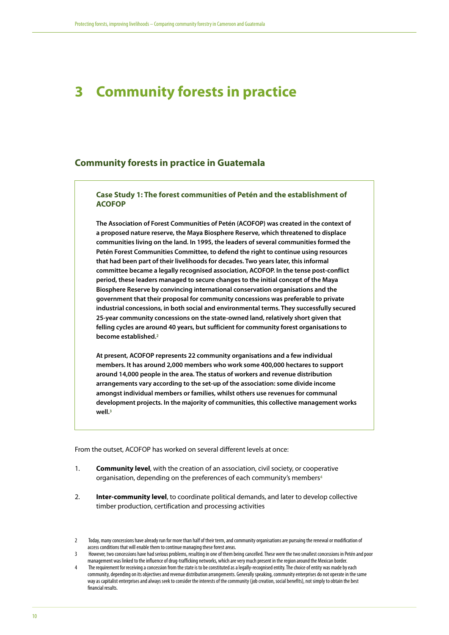# <span id="page-9-0"></span>**3 Community forests in practice**

### **Community forests in practice in Guatemala**

#### **Case Study 1: The forest communities of Petén and the establishment of ACOFOP**

**The Association of Forest Communities of Petén (ACOFOP) was created in the context of a proposed nature reserve, the Maya Biosphere Reserve, which threatened to displace communities living on the land. In 1995, the leaders of several communities formed the Petén Forest Communities Committee, to defend the right to continue using resources that had been part of their livelihoods for decades. Two years later, this informal committee became a legally recognised association, ACOFOP. In the tense post-conflict period, these leaders managed to secure changes to the initial concept of the Maya Biosphere Reserve by convincing international conservation organisations and the government that their proposal for community concessions was preferable to private industrial concessions, in both social and environmental terms. They successfully secured 25-year community concessions on the state-owned land, relatively short given that felling cycles are around 40 years, but sufficient for community forest organisations to become established.2**

**At present, ACOFOP represents 22 community organisations and a few individual members. It has around 2,000 members who work some 400,000 hectares to support around 14,000 people in the area. The status of workers and revenue distribution arrangements vary according to the set-up of the association: some divide income amongst individual members or families, whilst others use revenues for communal development projects. In the majority of communities, this collective management works well.3**

From the outset, ACOFOP has worked on several different levels at once:

- 1. **Community level**, with the creation of an association, civil society, or cooperative organisation, depending on the preferences of each community's members4
- 2. **Inter-community level**, to coordinate political demands, and later to develop collective timber production, certification and processing activities

<sup>2</sup> Today, many concessions have already run for more than half of their term, and community organisations are pursuing the renewal or modification of access conditions that will enable them to continue managing these forest areas.

However, two concessions have had serious problems, resulting in one of them being cancelled. These were the two smallest concessions in Petén and poor management was linked to the influence of drug-trafficking networks, which are very much present in the region around the Mexican border.

<sup>4</sup> The requirement for receiving a concession from the state is to be constituted as a legally-recognised entity. The choice of entity was made by each community, depending on its objectives and revenue distribution arrangements. Generally speaking, community enterprises do not operate in the same way as capitalist enterprises and always seek to consider the interests of the community (job creation, social benefits), not simply to obtain the best financial results.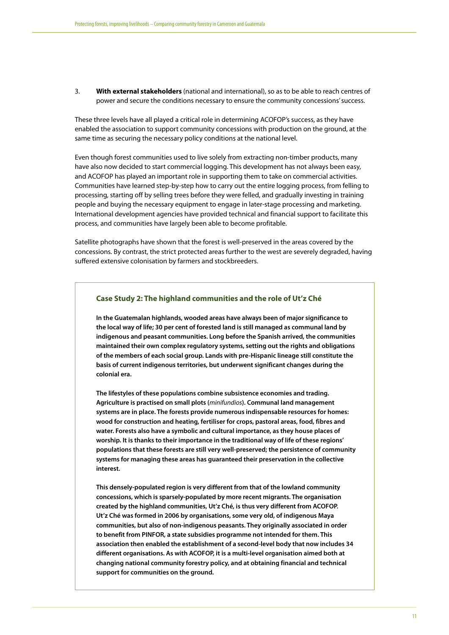3. **With external stakeholders** (national and international), so as to be able to reach centres of power and secure the conditions necessary to ensure the community concessions' success.

These three levels have all played a critical role in determining ACOFOP's success, as they have enabled the association to support community concessions with production on the ground, at the same time as securing the necessary policy conditions at the national level.

Even though forest communities used to live solely from extracting non-timber products, many have also now decided to start commercial logging. This development has not always been easy, and ACOFOP has played an important role in supporting them to take on commercial activities. Communities have learned step-by-step how to carry out the entire logging process, from felling to processing, starting off by selling trees before they were felled, and gradually investing in training people and buying the necessary equipment to engage in later-stage processing and marketing. International development agencies have provided technical and financial support to facilitate this process, and communities have largely been able to become profitable.

Satellite photographs have shown that the forest is well-preserved in the areas covered by the concessions. By contrast, the strict protected areas further to the west are severely degraded, having suffered extensive colonisation by farmers and stockbreeders.

#### **Case Study 2: The highland communities and the role of Ut'z Ché**

**In the Guatemalan highlands, wooded areas have always been of major significance to the local way of life; 30 per cent of forested land is still managed as communal land by indigenous and peasant communities. Long before the Spanish arrived, the communities maintained their own complex regulatory systems, setting out the rights and obligations of the members of each social group. Lands with pre-Hispanic lineage still constitute the basis of current indigenous territories, but underwent significant changes during the colonial era.** 

**The lifestyles of these populations combine subsistence economies and trading. Agriculture is practised on small plots (***minifundios***). Communal land management systems are in place. The forests provide numerous indispensable resources for homes: wood for construction and heating, fertiliser for crops, pastoral areas, food, fibres and water. Forests also have a symbolic and cultural importance, as they house places of worship. It is thanks to their importance in the traditional way of life of these regions' populations that these forests are still very well-preserved; the persistence of community systems for managing these areas has guaranteed their preservation in the collective interest.**

**This densely-populated region is very different from that of the lowland community concessions, which is sparsely-populated by more recent migrants. The organisation created by the highland communities, Ut'z Ché, is thus very different from ACOFOP. Ut'z Ché was formed in 2006 by organisations, some very old, of indigenous Maya communities, but also of non-indigenous peasants. They originally associated in order to benefit from PINFOR, a state subsidies programme not intended for them. This association then enabled the establishment of a second-level body that now includes 34 different organisations. As with ACOFOP, it is a multi-level organisation aimed both at changing national community forestry policy, and at obtaining financial and technical support for communities on the ground.**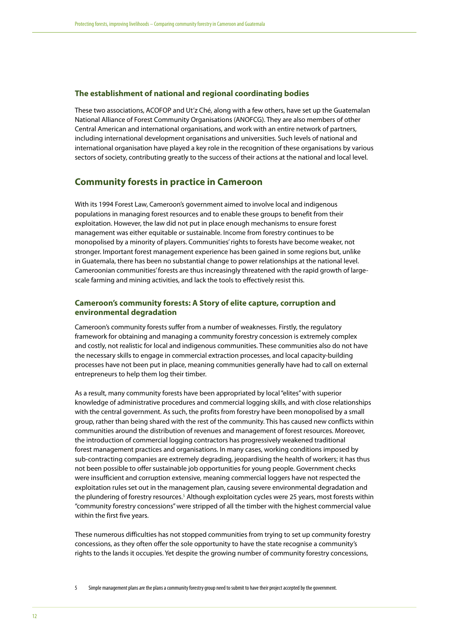#### **The establishment of national and regional coordinating bodies**

These two associations, ACOFOP and Ut'z Ché, along with a few others, have set up the Guatemalan National Alliance of Forest Community Organisations (ANOFCG). They are also members of other Central American and international organisations, and work with an entire network of partners, including international development organisations and universities. Such levels of national and international organisation have played a key role in the recognition of these organisations by various sectors of society, contributing greatly to the success of their actions at the national and local level.

## **Community forests in practice in Cameroon**

With its 1994 Forest Law, Cameroon's government aimed to involve local and indigenous populations in managing forest resources and to enable these groups to benefit from their exploitation. However, the law did not put in place enough mechanisms to ensure forest management was either equitable or sustainable. Income from forestry continues to be monopolised by a minority of players. Communities' rights to forests have become weaker, not stronger. Important forest management experience has been gained in some regions but, unlike in Guatemala, there has been no substantial change to power relationships at the national level. Cameroonian communities' forests are thus increasingly threatened with the rapid growth of largescale farming and mining activities, and lack the tools to effectively resist this.

#### **Cameroon's community forests: A Story of elite capture, corruption and environmental degradation**

Cameroon's community forests suffer from a number of weaknesses. Firstly, the regulatory framework for obtaining and managing a community forestry concession is extremely complex and costly, not realistic for local and indigenous communities. These communities also do not have the necessary skills to engage in commercial extraction processes, and local capacity-building processes have not been put in place, meaning communities generally have had to call on external entrepreneurs to help them log their timber.

As a result, many community forests have been appropriated by local "elites" with superior knowledge of administrative procedures and commercial logging skills, and with close relationships with the central government. As such, the profits from forestry have been monopolised by a small group, rather than being shared with the rest of the community. This has caused new conflicts within communities around the distribution of revenues and management of forest resources. Moreover, the introduction of commercial logging contractors has progressively weakened traditional forest management practices and organisations. In many cases, working conditions imposed by sub-contracting companies are extremely degrading, jeopardising the health of workers; it has thus not been possible to offer sustainable job opportunities for young people. Government checks were insufficient and corruption extensive, meaning commercial loggers have not respected the exploitation rules set out in the management plan, causing severe environmental degradation and the plundering of forestry resources.<sup>5</sup> Although exploitation cycles were 25 years, most forests within "community forestry concessions" were stripped of all the timber with the highest commercial value within the first five years.

These numerous difficulties has not stopped communities from trying to set up community forestry concessions, as they often offer the sole opportunity to have the state recognise a community's rights to the lands it occupies. Yet despite the growing number of community forestry concessions,

5 Simple management plans are the plans a community forestry group need to submit to have their project accepted by the government.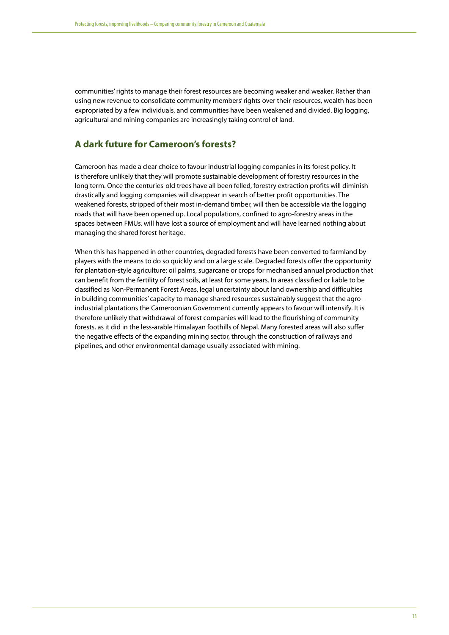communities' rights to manage their forest resources are becoming weaker and weaker. Rather than using new revenue to consolidate community members' rights over their resources, wealth has been expropriated by a few individuals, and communities have been weakened and divided. Big logging, agricultural and mining companies are increasingly taking control of land.

# **A dark future for Cameroon's forests?**

Cameroon has made a clear choice to favour industrial logging companies in its forest policy. It is therefore unlikely that they will promote sustainable development of forestry resources in the long term. Once the centuries-old trees have all been felled, forestry extraction profits will diminish drastically and logging companies will disappear in search of better profit opportunities. The weakened forests, stripped of their most in-demand timber, will then be accessible via the logging roads that will have been opened up. Local populations, confined to agro-forestry areas in the spaces between FMUs, will have lost a source of employment and will have learned nothing about managing the shared forest heritage.

When this has happened in other countries, degraded forests have been converted to farmland by players with the means to do so quickly and on a large scale. Degraded forests offer the opportunity for plantation-style agriculture: oil palms, sugarcane or crops for mechanised annual production that can benefit from the fertility of forest soils, at least for some years. In areas classified or liable to be classified as Non-Permanent Forest Areas, legal uncertainty about land ownership and difficulties in building communities' capacity to manage shared resources sustainably suggest that the agroindustrial plantations the Cameroonian Government currently appears to favour will intensify. It is therefore unlikely that withdrawal of forest companies will lead to the flourishing of community forests, as it did in the less-arable Himalayan foothills of Nepal. Many forested areas will also suffer the negative effects of the expanding mining sector, through the construction of railways and pipelines, and other environmental damage usually associated with mining.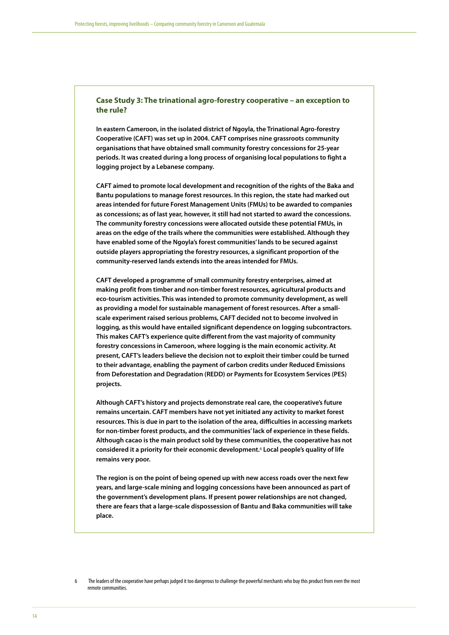#### **Case Study 3: The trinational agro-forestry cooperative – an exception to the rule?**

**In eastern Cameroon, in the isolated district of Ngoyla, the Trinational Agro-forestry Cooperative (CAFT) was set up in 2004. CAFT comprises nine grassroots community organisations that have obtained small community forestry concessions for 25-year periods. It was created during a long process of organising local populations to fight a logging project by a Lebanese company.** 

**CAFT aimed to promote local development and recognition of the rights of the Baka and Bantu populations to manage forest resources. In this region, the state had marked out areas intended for future Forest Management Units (FMUs) to be awarded to companies as concessions; as of last year, however, it still had not started to award the concessions. The community forestry concessions were allocated outside these potential FMUs, in areas on the edge of the trails where the communities were established. Although they have enabled some of the Ngoyla's forest communities' lands to be secured against outside players appropriating the forestry resources, a significant proportion of the community-reserved lands extends into the areas intended for FMUs.** 

**CAFT developed a programme of small community forestry enterprises, aimed at making profit from timber and non-timber forest resources, agricultural products and eco-tourism activities. This was intended to promote community development, as well as providing a model for sustainable management of forest resources. After a smallscale experiment raised serious problems, CAFT decided not to become involved in logging, as this would have entailed significant dependence on logging subcontractors. This makes CAFT's experience quite different from the vast majority of community forestry concessions in Cameroon, where logging is the main economic activity. At present, CAFT's leaders believe the decision not to exploit their timber could be turned to their advantage, enabling the payment of carbon credits under Reduced Emissions from Deforestation and Degradation (REDD) or Payments for Ecosystem Services (PES) projects.** 

**Although CAFT's history and projects demonstrate real care, the cooperative's future remains uncertain. CAFT members have not yet initiated any activity to market forest resources. This is due in part to the isolation of the area, difficulties in accessing markets for non-timber forest products, and the communities' lack of experience in these fields. Although cacao is the main product sold by these communities, the cooperative has not considered it a priority for their economic development.6 Local people's quality of life remains very poor.** 

**The region is on the point of being opened up with new access roads over the next few years, and large-scale mining and logging concessions have been announced as part of the government's development plans. If present power relationships are not changed, there are fears that a large-scale dispossession of Bantu and Baka communities will take place.** 

<sup>6</sup> The leaders of the cooperative have perhaps judged it too dangerous to challenge the powerful merchants who buy this product from even the most remote communities.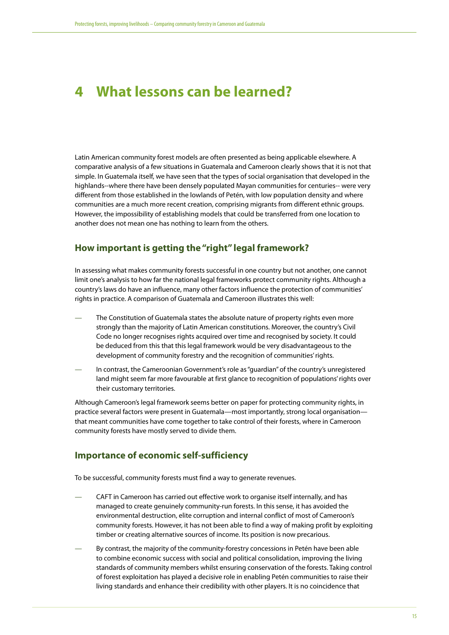# <span id="page-14-0"></span>**4 What lessons can be learned?**

Latin American community forest models are often presented as being applicable elsewhere. A comparative analysis of a few situations in Guatemala and Cameroon clearly shows that it is not that simple. In Guatemala itself, we have seen that the types of social organisation that developed in the highlands--where there have been densely populated Mayan communities for centuries-- were very different from those established in the lowlands of Petén, with low population density and where communities are a much more recent creation, comprising migrants from different ethnic groups. However, the impossibility of establishing models that could be transferred from one location to another does not mean one has nothing to learn from the others.

# **How important is getting the "right" legal framework?**

In assessing what makes community forests successful in one country but not another, one cannot limit one's analysis to how far the national legal frameworks protect community rights. Although a country's laws do have an influence, many other factors influence the protection of communities' rights in practice. A comparison of Guatemala and Cameroon illustrates this well:

- The Constitution of Guatemala states the absolute nature of property rights even more strongly than the majority of Latin American constitutions. Moreover, the country's Civil Code no longer recognises rights acquired over time and recognised by society. It could be deduced from this that this legal framework would be very disadvantageous to the development of community forestry and the recognition of communities' rights.
- In contrast, the Cameroonian Government's role as "guardian" of the country's unregistered land might seem far more favourable at first glance to recognition of populations' rights over their customary territories.

Although Cameroon's legal framework seems better on paper for protecting community rights, in practice several factors were present in Guatemala—most importantly, strong local organisation that meant communities have come together to take control of their forests, where in Cameroon community forests have mostly served to divide them.

## **Importance of economic self-sufficiency**

To be successful, community forests must find a way to generate revenues.

- CAFT in Cameroon has carried out effective work to organise itself internally, and has managed to create genuinely community-run forests. In this sense, it has avoided the environmental destruction, elite corruption and internal conflict of most of Cameroon's community forests. However, it has not been able to find a way of making profit by exploiting timber or creating alternative sources of income. Its position is now precarious.
- By contrast, the majority of the community-forestry concessions in Petén have been able to combine economic success with social and political consolidation, improving the living standards of community members whilst ensuring conservation of the forests. Taking control of forest exploitation has played a decisive role in enabling Petén communities to raise their living standards and enhance their credibility with other players. It is no coincidence that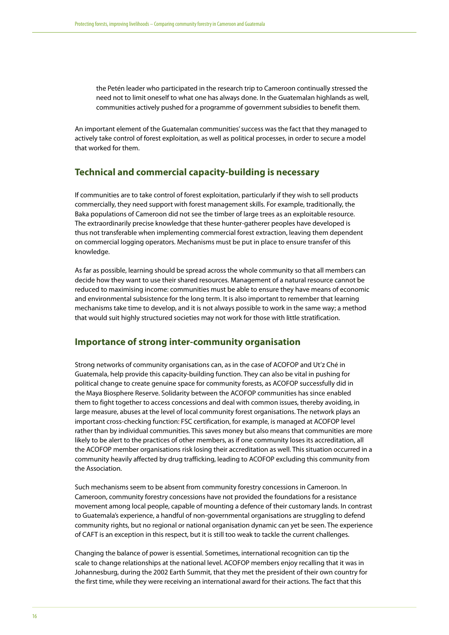the Petén leader who participated in the research trip to Cameroon continually stressed the need not to limit oneself to what one has always done. In the Guatemalan highlands as well, communities actively pushed for a programme of government subsidies to benefit them.

An important element of the Guatemalan communities' success was the fact that they managed to actively take control of forest exploitation, as well as political processes, in order to secure a model that worked for them.

# **Technical and commercial capacity-building is necessary**

If communities are to take control of forest exploitation, particularly if they wish to sell products commercially, they need support with forest management skills. For example, traditionally, the Baka populations of Cameroon did not see the timber of large trees as an exploitable resource. The extraordinarily precise knowledge that these hunter-gatherer peoples have developed is thus not transferable when implementing commercial forest extraction, leaving them dependent on commercial logging operators. Mechanisms must be put in place to ensure transfer of this knowledge.

As far as possible, learning should be spread across the whole community so that all members can decide how they want to use their shared resources. Management of a natural resource cannot be reduced to maximising income: communities must be able to ensure they have means of economic and environmental subsistence for the long term. It is also important to remember that learning mechanisms take time to develop, and it is not always possible to work in the same way; a method that would suit highly structured societies may not work for those with little stratification.

### **Importance of strong inter-community organisation**

Strong networks of community organisations can, as in the case of ACOFOP and Ut'z Ché in Guatemala, help provide this capacity-building function. They can also be vital in pushing for political change to create genuine space for community forests, as ACOFOP successfully did in the Maya Biosphere Reserve. Solidarity between the ACOFOP communities has since enabled them to fight together to access concessions and deal with common issues, thereby avoiding, in large measure, abuses at the level of local community forest organisations. The network plays an important cross-checking function: FSC certification, for example, is managed at ACOFOP level rather than by individual communities. This saves money but also means that communities are more likely to be alert to the practices of other members, as if one community loses its accreditation, all the ACOFOP member organisations risk losing their accreditation as well. This situation occurred in a community heavily affected by drug trafficking, leading to ACOFOP excluding this community from the Association.

Such mechanisms seem to be absent from community forestry concessions in Cameroon. In Cameroon, community forestry concessions have not provided the foundations for a resistance movement among local people, capable of mounting a defence of their customary lands. In contrast to Guatemala's experience, a handful of non-governmental organisations are struggling to defend community rights, but no regional or national organisation dynamic can yet be seen. The experience of CAFT is an exception in this respect, but it is still too weak to tackle the current challenges.

Changing the balance of power is essential. Sometimes, international recognition can tip the scale to change relationships at the national level. ACOFOP members enjoy recalling that it was in Johannesburg, during the 2002 Earth Summit, that they met the president of their own country for the first time, while they were receiving an international award for their actions. The fact that this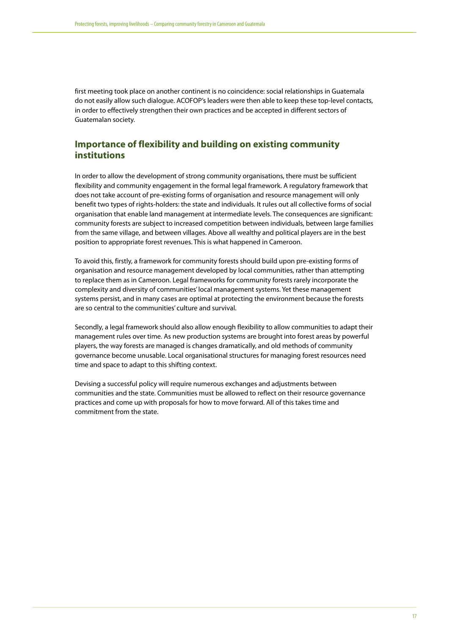first meeting took place on another continent is no coincidence: social relationships in Guatemala do not easily allow such dialogue. ACOFOP's leaders were then able to keep these top-level contacts, in order to effectively strengthen their own practices and be accepted in different sectors of Guatemalan society.

# **Importance of flexibility and building on existing community institutions**

In order to allow the development of strong community organisations, there must be sufficient flexibility and community engagement in the formal legal framework. A regulatory framework that does not take account of pre-existing forms of organisation and resource management will only benefit two types of rights-holders: the state and individuals. It rules out all collective forms of social organisation that enable land management at intermediate levels. The consequences are significant: community forests are subject to increased competition between individuals, between large families from the same village, and between villages. Above all wealthy and political players are in the best position to appropriate forest revenues. This is what happened in Cameroon.

To avoid this, firstly, a framework for community forests should build upon pre-existing forms of organisation and resource management developed by local communities, rather than attempting to replace them as in Cameroon. Legal frameworks for community forests rarely incorporate the complexity and diversity of communities' local management systems. Yet these management systems persist, and in many cases are optimal at protecting the environment because the forests are so central to the communities' culture and survival.

Secondly, a legal framework should also allow enough flexibility to allow communities to adapt their management rules over time. As new production systems are brought into forest areas by powerful players, the way forests are managed is changes dramatically, and old methods of community governance become unusable. Local organisational structures for managing forest resources need time and space to adapt to this shifting context.

Devising a successful policy will require numerous exchanges and adjustments between communities and the state. Communities must be allowed to reflect on their resource governance practices and come up with proposals for how to move forward. All of this takes time and commitment from the state.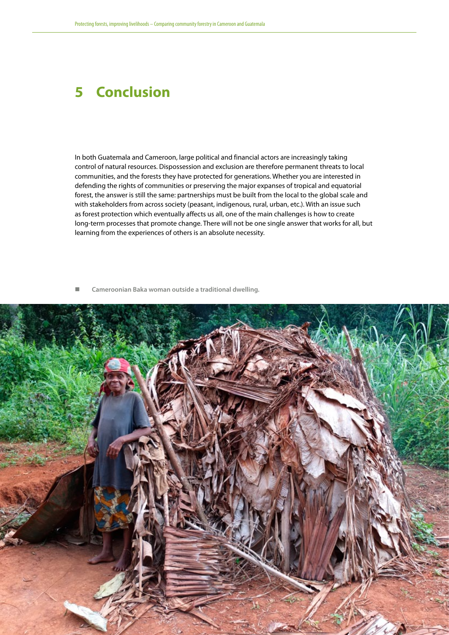# <span id="page-17-0"></span>**5 Conclusion**

In both Guatemala and Cameroon, large political and financial actors are increasingly taking control of natural resources. Dispossession and exclusion are therefore permanent threats to local communities, and the forests they have protected for generations. Whether you are interested in defending the rights of communities or preserving the major expanses of tropical and equatorial forest, the answer is still the same: partnerships must be built from the local to the global scale and with stakeholders from across society (peasant, indigenous, rural, urban, etc.). With an issue such as forest protection which eventually affects us all, one of the main challenges is how to create long-term processes that promote change. There will not be one single answer that works for all, but learning from the experiences of others is an absolute necessity.

**Cameroonian Baka woman outside a traditional dwelling.**

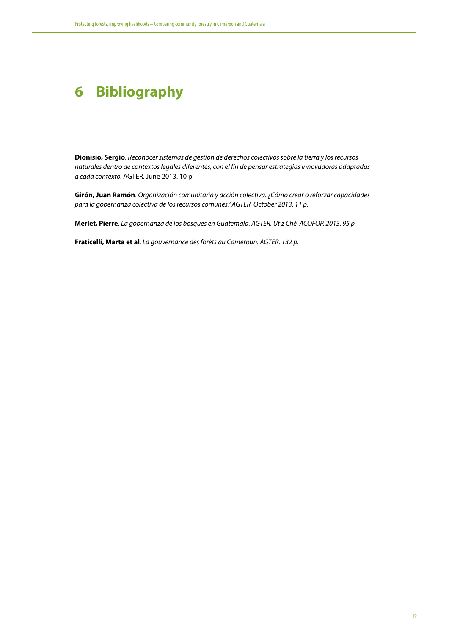# <span id="page-18-0"></span>**6 Bibliography**

**Dionisio, Sergio**. *Reconocer sistemas de gestión de derechos colectivos sobre la tierra y los recursos naturales dentro de contextos legales diferentes, con el fin de pensar estrategias innovadoras adaptadas a cada contexto.* AGTER, June 2013. 10 p.

**Girón, Juan Ramón**. *Organización comunitaria y acción colectiva. ¿Cómo crear o reforzar capacidades para la gobernanza colectiva de los recursos comunes? AGTER, October 2013. 11 p.*

**Merlet, Pierre**. *La gobernanza de los bosques en Guatemala. AGTER, Ut'z Ché, ACOFOP. 2013. 95 p.*

**Fraticelli, Marta et al**. *La gouvernance des forêts au Cameroun. AGTER. 132 p.*